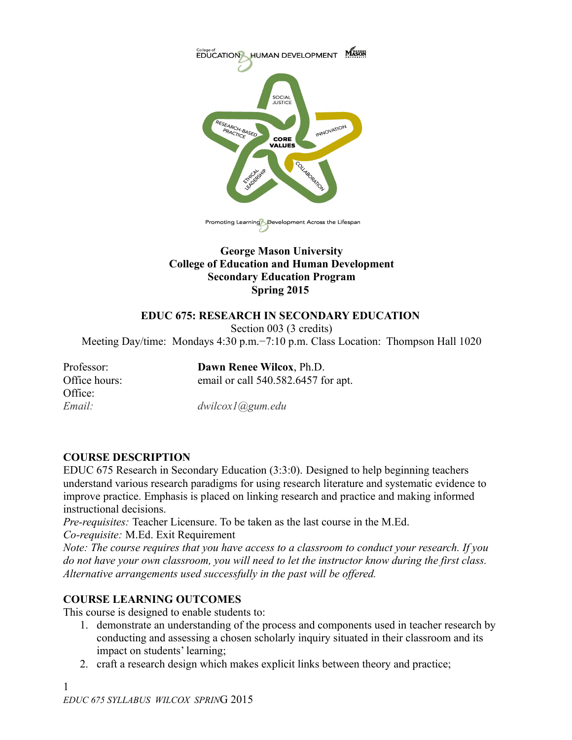

## **George Mason University College of Education and Human Development Secondary Education Program Spring 2015**

## **EDUC 675: RESEARCH IN SECONDARY EDUCATION**

Section 003 (3 credits)

Meeting Day/time: Mondays 4:30 p.m.−7:10 p.m. Class Location: Thompson Hall 1020

for apt.

| Professor:    | Dawn Renee Wilcox, Ph.D.     |
|---------------|------------------------------|
| Office hours: | email or call 540.582.6457 f |
| Office:       |                              |
| Email:        | $dwilcox1$ ( $Qgum.edu$      |

## **COURSE DESCRIPTION**

EDUC 675 Research in Secondary Education (3:3:0). Designed to help beginning teachers understand various research paradigms for using research literature and systematic evidence to improve practice. Emphasis is placed on linking research and practice and making informed instructional decisions.

*Pre-requisites:* Teacher Licensure. To be taken as the last course in the M.Ed. *Co-requisite:* M.Ed. Exit Requirement

*Note: The course requires that you have access to a classroom to conduct your research. If you do not have your own classroom, you will need to let the instructor know during the first class. Alternative arrangements used successfully in the past will be offered.*

## **COURSE LEARNING OUTCOMES**

This course is designed to enable students to:

- 1. demonstrate an understanding of the process and components used in teacher research by conducting and assessing a chosen scholarly inquiry situated in their classroom and its impact on students' learning;
- 2. craft a research design which makes explicit links between theory and practice;

1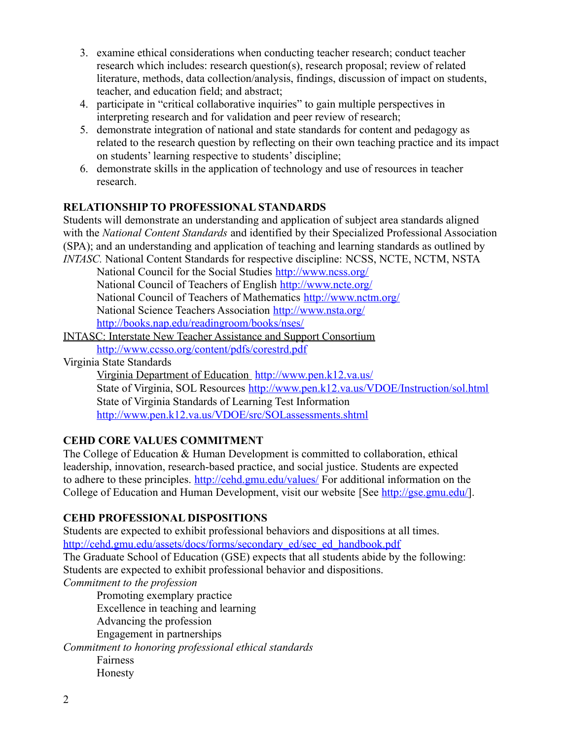- 3. examine ethical considerations when conducting teacher research; conduct teacher research which includes: research question(s), research proposal; review of related literature, methods, data collection/analysis, findings, discussion of impact on students, teacher, and education field; and abstract;
- 4. participate in "critical collaborative inquiries" to gain multiple perspectives in interpreting research and for validation and peer review of research;
- 5. demonstrate integration of national and state standards for content and pedagogy as related to the research question by reflecting on their own teaching practice and its impact on students' learning respective to students' discipline;
- 6. demonstrate skills in the application of technology and use of resources in teacher research.

## **RELATIONSHIP TO PROFESSIONAL STANDARDS**

Students will demonstrate an understanding and application of subject area standards aligned with the *National Content Standards* and identified by their Specialized Professional Association (SPA); and an understanding and application of teaching and learning standards as outlined by *INTASC.* National Content Standards for respective discipline: NCSS, NCTE, NCTM, NSTA

National Council for the Social Studies<http://www.ncss.org/> National Council of Teachers of English<http://www.ncte.org/> National Council of Teachers of Mathematics<http://www.nctm.org/> National Science Teachers Association<http://www.nsta.org/> <http://books.nap.edu/readingroom/books/nses/>

[INTASC: Interstate New Teacher Assistance and Support Consortium](http://www.ccsso.org/content/pdfs/corestrd.pdf) <http://www.ccsso.org/content/pdfs/corestrd.pdf>

Virginia State Standards

 [Virginia Department of Education http://www.pen.k12.va.us/](http://www.pen.k12.va.us/) State of Virginia, SOL Resources<http://www.pen.k12.va.us/VDOE/Instruction/sol.html> State of Virginia Standards of Learning Test Information <http://www.pen.k12.va.us/VDOE/src/SOLassessments.shtml>

# **CEHD CORE VALUES COMMITMENT**

The College of Education & Human Development is committed to collaboration, ethical leadership, innovation, research-based practice, and social justice. Students are expected to adhere to these principles.<http://cehd.gmu.edu/values/> For additional information on the College of Education and Human Development, visit our website [See [http://gse.gmu.edu/\]](http://gse.gmu.edu/).

## **CEHD PROFESSIONAL DISPOSITIONS**

Students are expected to exhibit professional behaviors and dispositions at all times. [http://cehd.gmu.edu/assets/docs/forms/secondary\\_ed/sec\\_ed\\_handbook.pdf](http://cehd.gmu.edu/assets/docs/forms/secondary_ed/sec_ed_handbook.pdf) The Graduate School of Education (GSE) expects that all students abide by the following: Students are expected to exhibit professional behavior and dispositions. *Commitment to the profession*

Promoting exemplary practice Excellence in teaching and learning Advancing the profession Engagement in partnerships

*Commitment to honoring professional ethical standards*

Fairness Honesty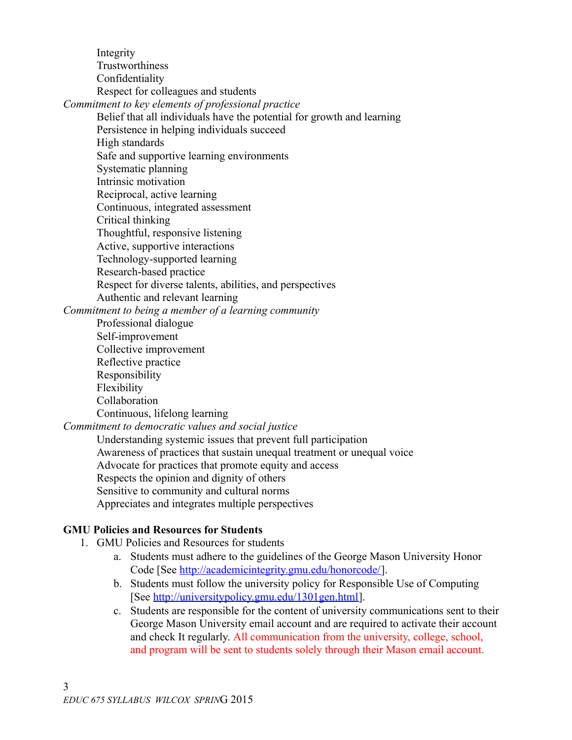Integrity **Trustworthiness** Confidentiality Respect for colleagues and students *Commitment to key elements of professional practice* Belief that all individuals have the potential for growth and learning Persistence in helping individuals succeed High standards Safe and supportive learning environments Systematic planning Intrinsic motivation Reciprocal, active learning Continuous, integrated assessment Critical thinking Thoughtful, responsive listening Active, supportive interactions Technology-supported learning Research-based practice Respect for diverse talents, abilities, and perspectives Authentic and relevant learning *Commitment to being a member of a learning community* Professional dialogue Self-improvement Collective improvement Reflective practice Responsibility Flexibility Collaboration Continuous, lifelong learning *Commitment to democratic values and social justice* Understanding systemic issues that prevent full participation Awareness of practices that sustain unequal treatment or unequal voice Advocate for practices that promote equity and access

Respects the opinion and dignity of others

Sensitive to community and cultural norms

Appreciates and integrates multiple perspectives

# **GMU Policies and Resources for Students**

- 1. GMU Policies and Resources for students
	- a. Students must adhere to the guidelines of the George Mason University Honor Code [See [http://academicintegrity.gmu.edu/honorcode/\]](http://academicintegrity.gmu.edu/honorcode/).
	- b. Students must follow the university policy for Responsible Use of Computing [See [http://universitypolicy.gmu.edu/1301gen.html\]](http://universitypolicy.gmu.edu/1301gen.html).
	- c. Students are responsible for the content of university communications sent to their George Mason University email account and are required to activate their account and check It regularly. All communication from the university, college, school, and program will be sent to students solely through their Mason email account.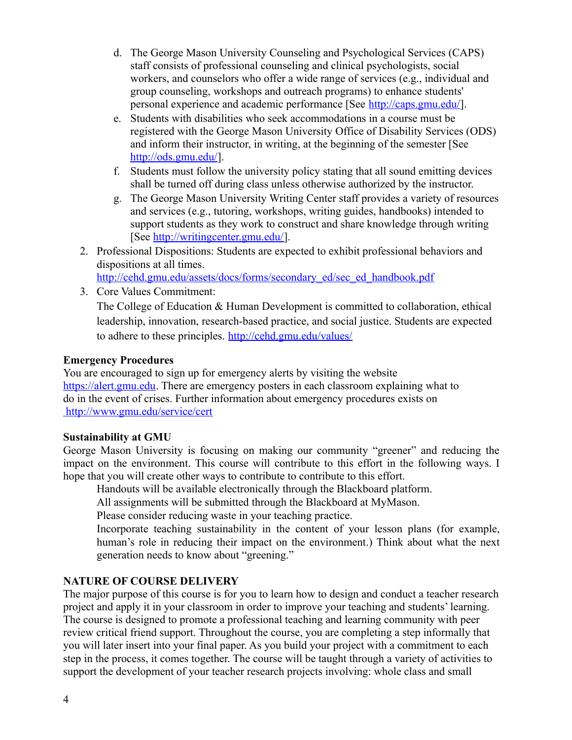- d. The George Mason University Counseling and Psychological Services (CAPS) staff consists of professional counseling and clinical psychologists, social workers, and counselors who offer a wide range of services (e.g., individual and group counseling, workshops and outreach programs) to enhance students' personal experience and academic performance [See [http://caps.gmu.edu/\]](http://caps.gmu.edu/).
- e. Students with disabilities who seek accommodations in a course must be registered with the George Mason University Office of Disability Services (ODS) and inform their instructor, in writing, at the beginning of the semester [See [http://ods.gmu.edu/\]](http://ods.gmu.edu/).
- f. Students must follow the university policy stating that all sound emitting devices shall be turned off during class unless otherwise authorized by the instructor.
- g. The George Mason University Writing Center staff provides a variety of resources and services (e.g., tutoring, workshops, writing guides, handbooks) intended to support students as they work to construct and share knowledge through writing [See [http://writingcenter.gmu.edu/\]](http://writingcenter.gmu.edu/).
- 2. Professional Dispositions: Students are expected to exhibit professional behaviors and dispositions at all times.

[http://cehd.gmu.edu/assets/docs/forms/secondary\\_ed/sec\\_ed\\_handbook.pdf](http://cehd.gmu.edu/assets/docs/forms/secondary_ed/sec_ed_handbook.pdf)

3. Core Values Commitment:

The College of Education & Human Development is committed to collaboration, ethical leadership, innovation, research-based practice, and social justice. Students are expected to adhere to these principles.<http://cehd.gmu.edu/values/>

### **Emergency Procedures**

You are encouraged to sign up for emergency alerts by visiting the website [https://alert.gmu.edu.](https://alert.gmu.edu/) There are emergency posters in each classroom explaining what to do in the event of crises. Further information about emergency procedures exists on  [http://www.gmu.edu/service/cert](file:///Users/zoolady/Desktop/%20http:%2F%2Fwww.gmu.edu%2Fservice%2Fcert)

#### **Sustainability at GMU**

George Mason University is focusing on making our community "greener" and reducing the impact on the environment. This course will contribute to this effort in the following ways. I hope that you will create other ways to contribute to contribute to this effort.

Handouts will be available electronically through the Blackboard platform.

All assignments will be submitted through the Blackboard at MyMason.

Please consider reducing waste in your teaching practice.

Incorporate teaching sustainability in the content of your lesson plans (for example, human's role in reducing their impact on the environment.) Think about what the next generation needs to know about "greening."

## **NATURE OF COURSE DELIVERY**

The major purpose of this course is for you to learn how to design and conduct a teacher research project and apply it in your classroom in order to improve your teaching and students' learning. The course is designed to promote a professional teaching and learning community with peer review critical friend support. Throughout the course, you are completing a step informally that you will later insert into your final paper. As you build your project with a commitment to each step in the process, it comes together. The course will be taught through a variety of activities to support the development of your teacher research projects involving: whole class and small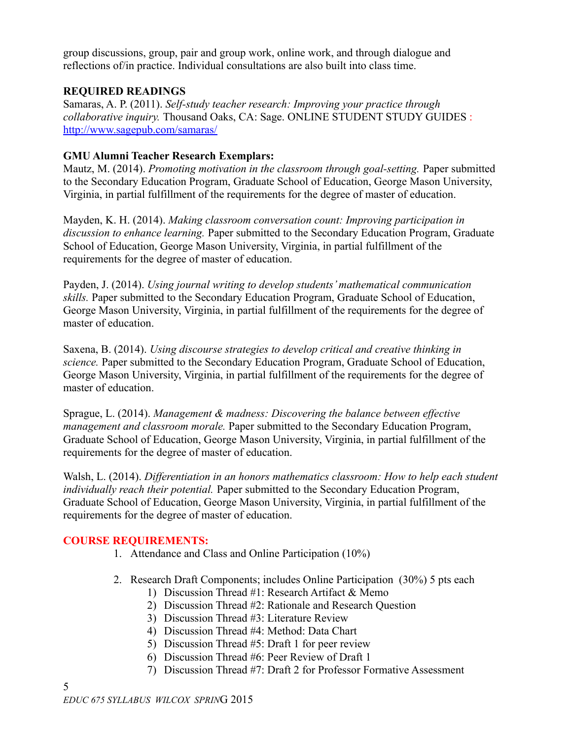group discussions, group, pair and group work, online work, and through dialogue and reflections of/in practice. Individual consultations are also built into class time.

## **REQUIRED READINGS**

Samaras, A. P. (2011). *Self-study teacher research: Improving your practice through collaborative inquiry.* Thousand Oaks, CA: Sage. ONLINE STUDENT STUDY GUIDES : <http://www.sagepub.com/samaras/>

## **GMU Alumni Teacher Research Exemplars:**

Mautz, M. (2014). *Promoting motivation in the classroom through goal-setting.* Paper submitted to the Secondary Education Program, Graduate School of Education, George Mason University, Virginia, in partial fulfillment of the requirements for the degree of master of education.

Mayden, K. H. (2014). *Making classroom conversation count: Improving participation in discussion to enhance learning.* Paper submitted to the Secondary Education Program, Graduate School of Education, George Mason University, Virginia, in partial fulfillment of the requirements for the degree of master of education.

Payden, J. (2014). *Using journal writing to develop students' mathematical communication skills.* Paper submitted to the Secondary Education Program, Graduate School of Education, George Mason University, Virginia, in partial fulfillment of the requirements for the degree of master of education.

Saxena, B. (2014). *Using discourse strategies to develop critical and creative thinking in science.* Paper submitted to the Secondary Education Program, Graduate School of Education, George Mason University, Virginia, in partial fulfillment of the requirements for the degree of master of education.

Sprague, L. (2014). *Management & madness: Discovering the balance between effective management and classroom morale.* Paper submitted to the Secondary Education Program, Graduate School of Education, George Mason University, Virginia, in partial fulfillment of the requirements for the degree of master of education.

Walsh, L. (2014). *Differentiation in an honors mathematics classroom: How to help each student individually reach their potential.* Paper submitted to the Secondary Education Program, Graduate School of Education, George Mason University, Virginia, in partial fulfillment of the requirements for the degree of master of education.

## **COURSE REQUIREMENTS:**

- 1. Attendance and Class and Online Participation (10%)
- 2. Research Draft Components; includes Online Participation (30%) 5 pts each
	- 1) Discussion Thread #1: Research Artifact & Memo
	- 2) Discussion Thread #2: Rationale and Research Question
	- 3) Discussion Thread #3: Literature Review
	- 4) Discussion Thread #4: Method: Data Chart
	- 5) Discussion Thread #5: Draft 1 for peer review
	- 6) Discussion Thread #6: Peer Review of Draft 1
	- 7) Discussion Thread #7: Draft 2 for Professor Formative Assessment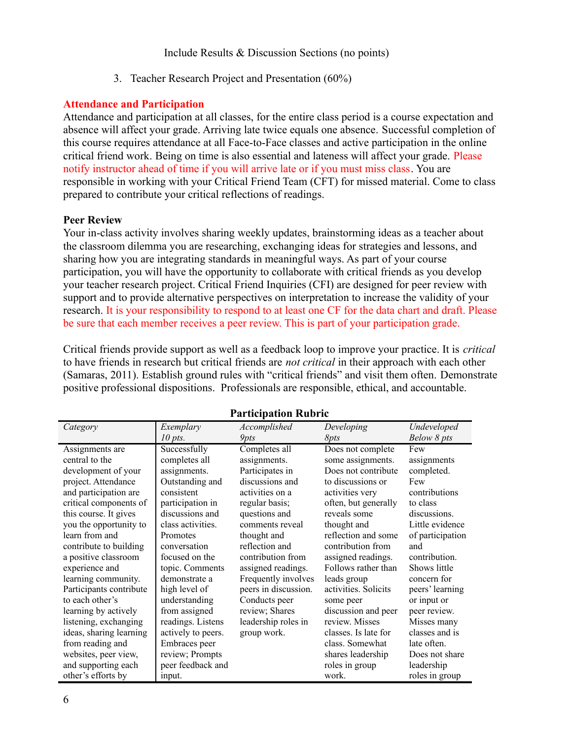3. Teacher Research Project and Presentation (60%)

#### **Attendance and Participation**

Attendance and participation at all classes, for the entire class period is a course expectation and absence will affect your grade. Arriving late twice equals one absence. Successful completion of this course requires attendance at all Face-to-Face classes and active participation in the online critical friend work. Being on time is also essential and lateness will affect your grade. Please notify instructor ahead of time if you will arrive late or if you must miss class. You are responsible in working with your Critical Friend Team (CFT) for missed material. Come to class prepared to contribute your critical reflections of readings.

#### **Peer Review**

Your in-class activity involves sharing weekly updates, brainstorming ideas as a teacher about the classroom dilemma you are researching, exchanging ideas for strategies and lessons, and sharing how you are integrating standards in meaningful ways. As part of your course participation, you will have the opportunity to collaborate with critical friends as you develop your teacher research project. Critical Friend Inquiries (CFI) are designed for peer review with support and to provide alternative perspectives on interpretation to increase the validity of your research. It is your responsibility to respond to at least one CF for the data chart and draft. Please be sure that each member receives a peer review. This is part of your participation grade.

Critical friends provide support as well as a feedback loop to improve your practice. It is *critical* to have friends in research but critical friends are *not critical* in their approach with each other (Samaras, 2011). Establish ground rules with "critical friends" and visit them often. Demonstrate positive professional dispositions. Professionals are responsible, ethical, and accountable.

| L al ucipativit ixubi ic |                    |                      |                      |                  |
|--------------------------|--------------------|----------------------|----------------------|------------------|
| Category                 | Exemplary          | Accomplished         | Developing           | Undeveloped      |
|                          | $10$ pts.          | <b>9pts</b>          | <i>Spts</i>          | Below 8 pts      |
| Assignments are          | Successfully       | Completes all        | Does not complete    | Few              |
| central to the           | completes all      | assignments.         | some assignments.    | assignments      |
| development of your      | assignments.       | Participates in      | Does not contribute  | completed.       |
| project. Attendance      | Outstanding and    | discussions and      | to discussions or    | Few              |
| and participation are    | consistent         | activities on a      | activities very      | contributions    |
| critical components of   | participation in   | regular basis;       | often, but generally | to class         |
| this course. It gives    | discussions and    | questions and        | reveals some         | discussions.     |
| you the opportunity to   | class activities.  | comments reveal      | thought and          | Little evidence  |
| learn from and           | Promotes           | thought and          | reflection and some  | of participation |
| contribute to building   | conversation       | reflection and       | contribution from    | and              |
| a positive classroom     | focused on the     | contribution from    | assigned readings.   | contribution.    |
| experience and           | topic. Comments    | assigned readings.   | Follows rather than  | Shows little     |
| learning community.      | demonstrate a      | Frequently involves  | leads group          | concern for      |
| Participants contribute  | high level of      | peers in discussion. | activities. Solicits | peers' learning  |
| to each other's          | understanding      | Conducts peer        | some peer            | or input or      |
| learning by actively     | from assigned      | review; Shares       | discussion and peer  | peer review.     |
| listening, exchanging    | readings. Listens  | leadership roles in  | review. Misses       | Misses many      |
| ideas, sharing learning  | actively to peers. | group work.          | classes. Is late for | classes and is   |
| from reading and         | Embraces peer      |                      | class. Somewhat      | late often.      |
| websites, peer view,     | review; Prompts    |                      | shares leadership    | Does not share   |
| and supporting each      | peer feedback and  |                      | roles in group       | leadership       |
| other's efforts by       | input.             |                      | work.                | roles in group   |

#### **Participation Rubric**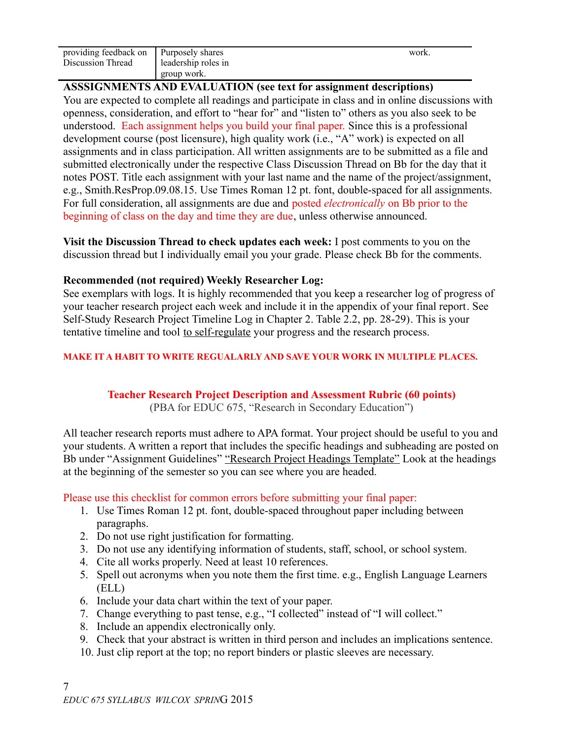| providing feedback on   Purposely shares |                     | work. |
|------------------------------------------|---------------------|-------|
| Discussion Thread                        | leadership roles in |       |
|                                          | ' group work.       |       |

### **ASSSIGNMENTS AND EVALUATION (see text for assignment descriptions)**

You are expected to complete all readings and participate in class and in online discussions with openness, consideration, and effort to "hear for" and "listen to" others as you also seek to be understood. Each assignment helps you build your final paper. Since this is a professional development course (post licensure), high quality work (i.e., "A" work) is expected on all assignments and in class participation. All written assignments are to be submitted as a file and submitted electronically under the respective Class Discussion Thread on Bb for the day that it notes POST. Title each assignment with your last name and the name of the project/assignment, e.g., Smith.ResProp.09.08.15. Use Times Roman 12 pt. font, double-spaced for all assignments. For full consideration, all assignments are due and posted *electronically* on Bb prior to the beginning of class on the day and time they are due, unless otherwise announced.

**Visit the Discussion Thread to check updates each week:** I post comments to you on the discussion thread but I individually email you your grade. Please check Bb for the comments.

### **Recommended (not required) Weekly Researcher Log:**

See exemplars with logs. It is highly recommended that you keep a researcher log of progress of your teacher research project each week and include it in the appendix of your final report. See Self-Study Research Project Timeline Log in Chapter 2. Table 2.2, pp. 28-29). This is your tentative timeline and tool to self-regulate your progress and the research process.

#### **MAKE IT A HABIT TO WRITE REGUALARLY AND SAVE YOUR WORK IN MULTIPLE PLACES.**

## **Teacher Research Project Description and Assessment Rubric (60 points)**

(PBA for EDUC 675, "Research in Secondary Education")

All teacher research reports must adhere to APA format. Your project should be useful to you and your students. A written a report that includes the specific headings and subheading are posted on Bb under "Assignment Guidelines" "Research Project Headings Template" Look at the headings at the beginning of the semester so you can see where you are headed.

Please use this checklist for common errors before submitting your final paper:

- 1. Use Times Roman 12 pt. font, double-spaced throughout paper including between paragraphs.
- 2. Do not use right justification for formatting.
- 3. Do not use any identifying information of students, staff, school, or school system.
- 4. Cite all works properly. Need at least 10 references.
- 5. Spell out acronyms when you note them the first time. e.g., English Language Learners (ELL)
- 6. Include your data chart within the text of your paper.
- 7. Change everything to past tense, e.g., "I collected" instead of "I will collect."
- 8. Include an appendix electronically only.
- 9. Check that your abstract is written in third person and includes an implications sentence.
- 10. Just clip report at the top; no report binders or plastic sleeves are necessary.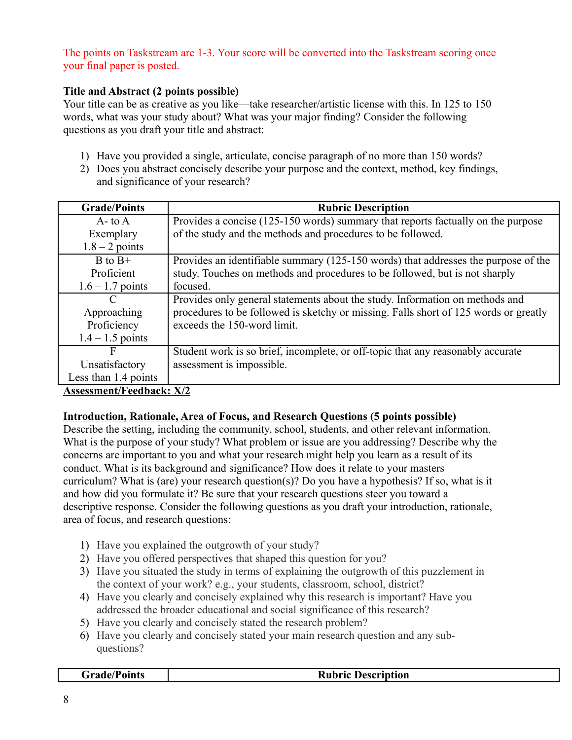## The points on Taskstream are 1-3. Your score will be converted into the Taskstream scoring once your final paper is posted.

# **Title and Abstract (2 points possible)**

Your title can be as creative as you like—take researcher/artistic license with this. In 125 to 150 words, what was your study about? What was your major finding? Consider the following questions as you draft your title and abstract:

- 1) Have you provided a single, articulate, concise paragraph of no more than 150 words?
- 2) Does you abstract concisely describe your purpose and the context, method, key findings, and significance of your research?

| <b>Grade/Points</b>  | <b>Rubric Description</b>                                                            |
|----------------------|--------------------------------------------------------------------------------------|
| $A$ - to $A$         | Provides a concise (125-150 words) summary that reports factually on the purpose     |
| Exemplary            | of the study and the methods and procedures to be followed.                          |
| $1.8 - 2$ points     |                                                                                      |
| $B$ to $B+$          | Provides an identifiable summary (125-150 words) that addresses the purpose of the   |
| Proficient           | study. Touches on methods and procedures to be followed, but is not sharply          |
| $1.6 - 1.7$ points   | focused.                                                                             |
|                      | Provides only general statements about the study. Information on methods and         |
| Approaching          | procedures to be followed is sketchy or missing. Falls short of 125 words or greatly |
| Proficiency          | exceeds the 150-word limit.                                                          |
| $1.4 - 1.5$ points   |                                                                                      |
| F                    | Student work is so brief, incomplete, or off-topic that any reasonably accurate      |
| Unsatisfactory       | assessment is impossible.                                                            |
| Less than 1.4 points |                                                                                      |
|                      | $\mathbf{v}$ $\mathbf{v}$ $\mathbf{v}$                                               |

## **Assessment/Feedback: X/2**

## **Introduction, Rationale, Area of Focus, and Research Questions (5 points possible)**

Describe the setting, including the community, school, students, and other relevant information. What is the purpose of your study? What problem or issue are you addressing? Describe why the concerns are important to you and what your research might help you learn as a result of its conduct. What is its background and significance? How does it relate to your masters curriculum? What is (are) your research question(s)? Do you have a hypothesis? If so, what is it and how did you formulate it? Be sure that your research questions steer you toward a descriptive response. Consider the following questions as you draft your introduction, rationale, area of focus, and research questions:

- 1) Have you explained the outgrowth of your study?
- 2) Have you offered perspectives that shaped this question for you?
- 3) Have you situated the study in terms of explaining the outgrowth of this puzzlement in the context of your work? e.g., your students, classroom, school, district?
- 4) Have you clearly and concisely explained why this research is important? Have you addressed the broader educational and social significance of this research?
- 5) Have you clearly and concisely stated the research problem?
- 6) Have you clearly and concisely stated your main research question and any subquestions?

| <b>Grade/Points</b> | <b>Rubric Description</b> |
|---------------------|---------------------------|
|                     |                           |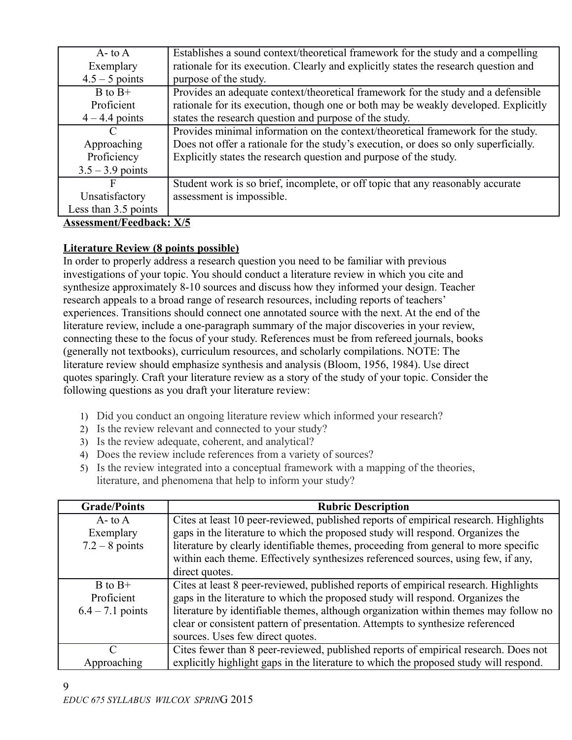| $A$ - to $A$                                                                                      | Establishes a sound context/theoretical framework for the study and a compelling     |
|---------------------------------------------------------------------------------------------------|--------------------------------------------------------------------------------------|
| Exemplary                                                                                         | rationale for its execution. Clearly and explicitly states the research question and |
| $4.5 - 5$ points                                                                                  | purpose of the study.                                                                |
| $B$ to $B+$                                                                                       | Provides an adequate context/theoretical framework for the study and a defensible    |
| Proficient                                                                                        | rationale for its execution, though one or both may be weakly developed. Explicitly  |
| $4 - 4.4$ points                                                                                  | states the research question and purpose of the study.                               |
| C                                                                                                 | Provides minimal information on the context/theoretical framework for the study.     |
| Approaching                                                                                       | Does not offer a rationale for the study's execution, or does so only superficially. |
| Proficiency                                                                                       | Explicitly states the research question and purpose of the study.                    |
| $3.5 - 3.9$ points                                                                                |                                                                                      |
| F                                                                                                 | Student work is so brief, incomplete, or off topic that any reasonably accurate      |
| Unsatisfactory                                                                                    | assessment is impossible.                                                            |
| Less than 3.5 points                                                                              |                                                                                      |
| $\lambda$ and any contribution of $\mathbf{E}$ and $\mathbf{E}$ and $\mathbf{E}$ and $\mathbf{E}$ |                                                                                      |

# **Literature Review (8 points possible)**

In order to properly address a research question you need to be familiar with previous investigations of your topic. You should conduct a literature review in which you cite and synthesize approximately 8-10 sources and discuss how they informed your design. Teacher research appeals to a broad range of research resources, including reports of teachers' experiences. Transitions should connect one annotated source with the next. At the end of the literature review, include a one-paragraph summary of the major discoveries in your review, connecting these to the focus of your study. References must be from refereed journals, books (generally not textbooks), curriculum resources, and scholarly compilations. NOTE: The literature review should emphasize synthesis and analysis (Bloom, 1956, 1984). Use direct quotes sparingly. Craft your literature review as a story of the study of your topic. Consider the following questions as you draft your literature review:

- 1) Did you conduct an ongoing literature review which informed your research?
- 2) Is the review relevant and connected to your study?
- 3) Is the review adequate, coherent, and analytical?
- 4) Does the review include references from a variety of sources?
- 5) Is the review integrated into a conceptual framework with a mapping of the theories, literature, and phenomena that help to inform your study?

| <b>Grade/Points</b>         | <b>Rubric Description</b>                                                             |
|-----------------------------|---------------------------------------------------------------------------------------|
| $A - t_0 A$                 | Cites at least 10 peer-reviewed, published reports of empirical research. Highlights  |
| Exemplary                   | gaps in the literature to which the proposed study will respond. Organizes the        |
| $7.2 - 8$ points            | literature by clearly identifiable themes, proceeding from general to more specific   |
|                             | within each theme. Effectively synthesizes referenced sources, using few, if any,     |
|                             | direct quotes.                                                                        |
| $B$ to $B+$                 | Cites at least 8 peer-reviewed, published reports of empirical research. Highlights   |
| Proficient                  | gaps in the literature to which the proposed study will respond. Organizes the        |
| $6.4 - 7.1$ points          | literature by identifiable themes, although organization within themes may follow no  |
|                             | clear or consistent pattern of presentation. Attempts to synthesize referenced        |
|                             | sources. Uses few direct quotes.                                                      |
| $\mathcal{C}_{\mathcal{C}}$ | Cites fewer than 8 peer-reviewed, published reports of empirical research. Does not   |
| Approaching                 | explicitly highlight gaps in the literature to which the proposed study will respond. |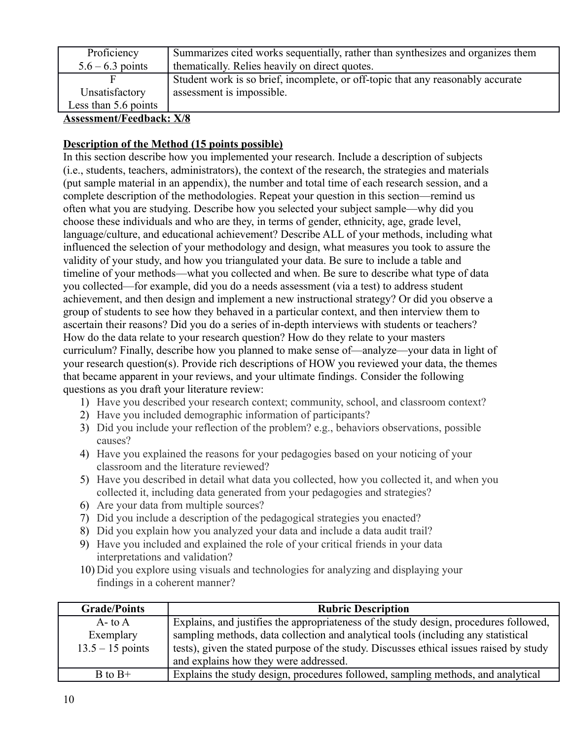| Proficiency                               | Summarizes cited works sequentially, rather than synthesizes and organizes them |
|-------------------------------------------|---------------------------------------------------------------------------------|
| $5.6 - 6.3$ points                        | the matically. Relies heavily on direct quotes.                                 |
|                                           | Student work is so brief, incomplete, or off-topic that any reasonably accurate |
| Unsatisfactory                            | assessment is impossible.                                                       |
| Less than 5.6 points                      |                                                                                 |
| $\Lambda$ good and $\Gamma$ and $\Lambda$ |                                                                                 |

## **Description of the Method (15 points possible)**

In this section describe how you implemented your research. Include a description of subjects (i.e., students, teachers, administrators), the context of the research, the strategies and materials (put sample material in an appendix), the number and total time of each research session, and a complete description of the methodologies. Repeat your question in this section—remind us often what you are studying. Describe how you selected your subject sample—why did you choose these individuals and who are they, in terms of gender, ethnicity, age, grade level, language/culture, and educational achievement? Describe ALL of your methods, including what influenced the selection of your methodology and design, what measures you took to assure the validity of your study, and how you triangulated your data. Be sure to include a table and timeline of your methods—what you collected and when. Be sure to describe what type of data you collected—for example, did you do a needs assessment (via a test) to address student achievement, and then design and implement a new instructional strategy? Or did you observe a group of students to see how they behaved in a particular context, and then interview them to ascertain their reasons? Did you do a series of in-depth interviews with students or teachers? How do the data relate to your research question? How do they relate to your masters curriculum? Finally, describe how you planned to make sense of—analyze—your data in light of your research question(s). Provide rich descriptions of HOW you reviewed your data, the themes that became apparent in your reviews, and your ultimate findings. Consider the following questions as you draft your literature review:

- 1) Have you described your research context; community, school, and classroom context?
- 2) Have you included demographic information of participants?
- 3) Did you include your reflection of the problem? e.g., behaviors observations, possible causes?
- 4) Have you explained the reasons for your pedagogies based on your noticing of your classroom and the literature reviewed?
- 5) Have you described in detail what data you collected, how you collected it, and when you collected it, including data generated from your pedagogies and strategies?
- 6) Are your data from multiple sources?
- 7) Did you include a description of the pedagogical strategies you enacted?
- 8) Did you explain how you analyzed your data and include a data audit trail?
- 9) Have you included and explained the role of your critical friends in your data interpretations and validation?
- 10) Did you explore using visuals and technologies for analyzing and displaying your findings in a coherent manner?

| <b>Grade/Points</b> | <b>Rubric Description</b>                                                               |
|---------------------|-----------------------------------------------------------------------------------------|
| $A - t_0 A$         | Explains, and justifies the appropriateness of the study design, procedures followed,   |
| Exemplary           | sampling methods, data collection and analytical tools (including any statistical       |
| $13.5 - 15$ points  | tests), given the stated purpose of the study. Discusses ethical issues raised by study |
|                     | and explains how they were addressed.                                                   |
| $B$ to $B+$         | Explains the study design, procedures followed, sampling methods, and analytical        |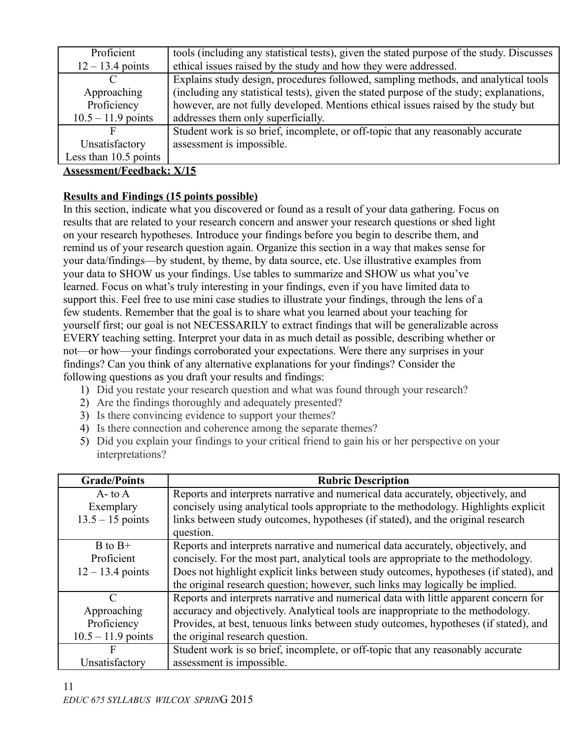| Proficient            | tools (including any statistical tests), given the stated purpose of the study. Discusses |
|-----------------------|-------------------------------------------------------------------------------------------|
| $12 - 13.4$ points    | ethical issues raised by the study and how they were addressed.                           |
|                       | Explains study design, procedures followed, sampling methods, and analytical tools        |
| Approaching           | (including any statistical tests), given the stated purpose of the study; explanations,   |
| Proficiency           | however, are not fully developed. Mentions ethical issues raised by the study but         |
| $10.5 - 11.9$ points  | addresses them only superficially.                                                        |
|                       | Student work is so brief, incomplete, or off-topic that any reasonably accurate           |
| Unsatisfactory        | assessment is impossible.                                                                 |
| Less than 10.5 points |                                                                                           |
|                       |                                                                                           |

## **Results and Findings (15 points possible)**

In this section, indicate what you discovered or found as a result of your data gathering. Focus on results that are related to your research concern and answer your research questions or shed light on your research hypotheses. Introduce your findings before you begin to describe them, and remind us of your research question again. Organize this section in a way that makes sense for your data/findings—by student, by theme, by data source, etc. Use illustrative examples from your data to SHOW us your findings. Use tables to summarize and SHOW us what you've learned. Focus on what's truly interesting in your findings, even if you have limited data to support this. Feel free to use mini case studies to illustrate your findings, through the lens of a few students. Remember that the goal is to share what you learned about your teaching for yourself first; our goal is not NECESSARILY to extract findings that will be generalizable across EVERY teaching setting. Interpret your data in as much detail as possible, describing whether or not—or how—your findings corroborated your expectations. Were there any surprises in your findings? Can you think of any alternative explanations for your findings? Consider the following questions as you draft your results and findings:

- 1) Did you restate your research question and what was found through your research?
- 2) Are the findings thoroughly and adequately presented?
- 3) Is there convincing evidence to support your themes?
- 4) Is there connection and coherence among the separate themes?
- 5) Did you explain your findings to your critical friend to gain his or her perspective on your interpretations?

| <b>Grade/Points</b>         | <b>Rubric Description</b>                                                             |
|-----------------------------|---------------------------------------------------------------------------------------|
| $A$ - to $A$                | Reports and interprets narrative and numerical data accurately, objectively, and      |
| Exemplary                   | concisely using analytical tools appropriate to the methodology. Highlights explicit  |
| $13.5 - 15$ points          | links between study outcomes, hypotheses (if stated), and the original research       |
|                             | question.                                                                             |
| $B$ to $B+$                 | Reports and interprets narrative and numerical data accurately, objectively, and      |
| Proficient                  | concisely. For the most part, analytical tools are appropriate to the methodology.    |
| $12 - 13.4$ points          | Does not highlight explicit links between study outcomes, hypotheses (if stated), and |
|                             | the original research question; however, such links may logically be implied.         |
| $\mathcal{C}_{\mathcal{C}}$ | Reports and interprets narrative and numerical data with little apparent concern for  |
| Approaching                 | accuracy and objectively. Analytical tools are inappropriate to the methodology.      |
| Proficiency                 | Provides, at best, tenuous links between study outcomes, hypotheses (if stated), and  |
| $10.5 - 11.9$ points        | the original research question.                                                       |
| F                           | Student work is so brief, incomplete, or off-topic that any reasonably accurate       |
| Unsatisfactory              | assessment is impossible.                                                             |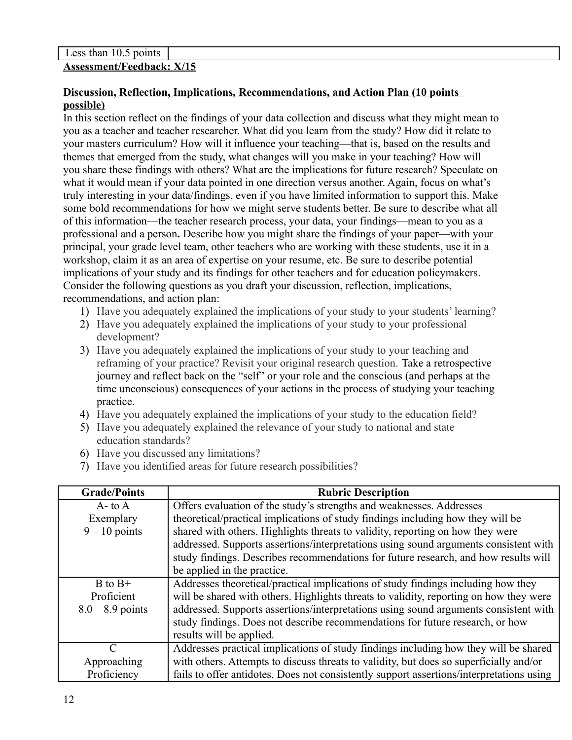## **Discussion, Reflection, Implications, Recommendations, and Action Plan (10 points possible)**

In this section reflect on the findings of your data collection and discuss what they might mean to you as a teacher and teacher researcher. What did you learn from the study? How did it relate to your masters curriculum? How will it influence your teaching—that is, based on the results and themes that emerged from the study, what changes will you make in your teaching? How will you share these findings with others? What are the implications for future research? Speculate on what it would mean if your data pointed in one direction versus another. Again, focus on what's truly interesting in your data/findings, even if you have limited information to support this. Make some bold recommendations for how we might serve students better. Be sure to describe what all of this information—the teacher research process, your data, your findings—mean to you as a professional and a person**.** Describe how you might share the findings of your paper—with your principal, your grade level team, other teachers who are working with these students, use it in a workshop, claim it as an area of expertise on your resume, etc. Be sure to describe potential implications of your study and its findings for other teachers and for education policymakers. Consider the following questions as you draft your discussion, reflection, implications, recommendations, and action plan:

- 1) Have you adequately explained the implications of your study to your students' learning?
- 2) Have you adequately explained the implications of your study to your professional development?
- 3) Have you adequately explained the implications of your study to your teaching and reframing of your practice? Revisit your original research question. Take a retrospective journey and reflect back on the "self" or your role and the conscious (and perhaps at the time unconscious) consequences of your actions in the process of studying your teaching practice.
- 4) Have you adequately explained the implications of your study to the education field?
- 5) Have you adequately explained the relevance of your study to national and state education standards?
- 6) Have you discussed any limitations?
- 7) Have you identified areas for future research possibilities?

| <b>Grade/Points</b>         | <b>Rubric Description</b>                                                                |
|-----------------------------|------------------------------------------------------------------------------------------|
| $A$ - to $A$                | Offers evaluation of the study's strengths and weaknesses. Addresses                     |
| Exemplary                   | theoretical/practical implications of study findings including how they will be          |
| $9 - 10$ points             | shared with others. Highlights threats to validity, reporting on how they were           |
|                             | addressed. Supports assertions/interpretations using sound arguments consistent with     |
|                             | study findings. Describes recommendations for future research, and how results will      |
|                             | be applied in the practice.                                                              |
| $B$ to $B+$                 | Addresses theoretical/practical implications of study findings including how they        |
| Proficient                  | will be shared with others. Highlights threats to validity, reporting on how they were   |
| $8.0 - 8.9$ points          | addressed. Supports assertions/interpretations using sound arguments consistent with     |
|                             | study findings. Does not describe recommendations for future research, or how            |
|                             | results will be applied.                                                                 |
| $\mathcal{C}_{\mathcal{C}}$ | Addresses practical implications of study findings including how they will be shared     |
| Approaching                 | with others. Attempts to discuss threats to validity, but does so superficially and/or   |
| Proficiency                 | fails to offer antidotes. Does not consistently support assertions/interpretations using |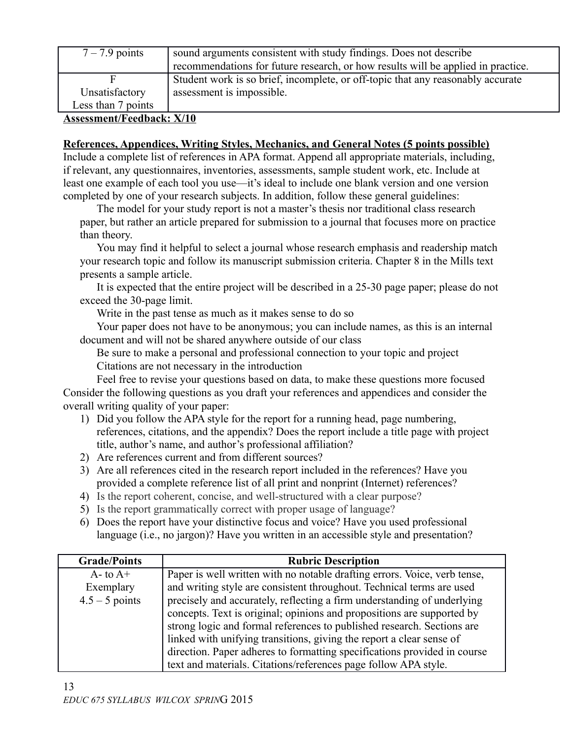| $7 - 7.9$ points   | sound arguments consistent with study findings. Does not describe                |  |  |
|--------------------|----------------------------------------------------------------------------------|--|--|
|                    | recommendations for future research, or how results will be applied in practice. |  |  |
| F                  | Student work is so brief, incomplete, or off-topic that any reasonably accurate  |  |  |
| Unsatisfactory     | assessment is impossible.                                                        |  |  |
| Less than 7 points |                                                                                  |  |  |

### **References, Appendices, Writing Styles, Mechanics, and General Notes (5 points possible)**

Include a complete list of references in APA format. Append all appropriate materials, including, if relevant, any questionnaires, inventories, assessments, sample student work, etc. Include at least one example of each tool you use—it's ideal to include one blank version and one version completed by one of your research subjects. In addition, follow these general guidelines:

The model for your study report is not a master's thesis nor traditional class research paper, but rather an article prepared for submission to a journal that focuses more on practice than theory.

You may find it helpful to select a journal whose research emphasis and readership match your research topic and follow its manuscript submission criteria. Chapter 8 in the Mills text presents a sample article.

It is expected that the entire project will be described in a 25-30 page paper; please do not exceed the 30-page limit.

Write in the past tense as much as it makes sense to do so

Your paper does not have to be anonymous; you can include names, as this is an internal document and will not be shared anywhere outside of our class

Be sure to make a personal and professional connection to your topic and project Citations are not necessary in the introduction

Feel free to revise your questions based on data, to make these questions more focused Consider the following questions as you draft your references and appendices and consider the overall writing quality of your paper:

- 1) Did you follow the APA style for the report for a running head, page numbering, references, citations, and the appendix? Does the report include a title page with project title, author's name, and author's professional affiliation?
- 2) Are references current and from different sources?
- 3) Are all references cited in the research report included in the references? Have you provided a complete reference list of all print and nonprint (Internet) references?
- 4) Is the report coherent, concise, and well-structured with a clear purpose?
- 5) Is the report grammatically correct with proper usage of language?
- 6) Does the report have your distinctive focus and voice? Have you used professional language (i.e., no jargon)? Have you written in an accessible style and presentation?

| <b>Grade/Points</b> | <b>Rubric Description</b>                                                 |
|---------------------|---------------------------------------------------------------------------|
| $A$ - to $A$ +      | Paper is well written with no notable drafting errors. Voice, verb tense, |
| Exemplary           | and writing style are consistent throughout. Technical terms are used     |
| $4.5 - 5$ points    | precisely and accurately, reflecting a firm understanding of underlying   |
|                     | concepts. Text is original; opinions and propositions are supported by    |
|                     | strong logic and formal references to published research. Sections are    |
|                     | linked with unifying transitions, giving the report a clear sense of      |
|                     | direction. Paper adheres to formatting specifications provided in course  |
|                     | text and materials. Citations/references page follow APA style.           |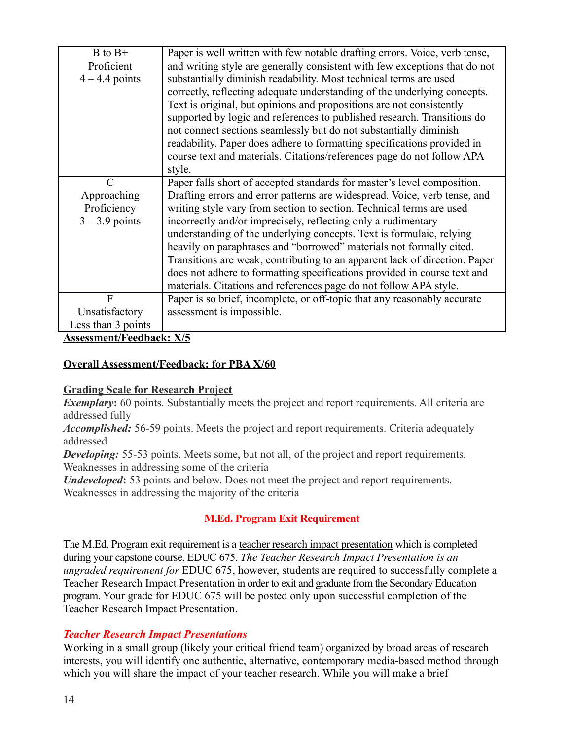| $B$ to $B+$        | Paper is well written with few notable drafting errors. Voice, verb tense, |  |  |
|--------------------|----------------------------------------------------------------------------|--|--|
| Proficient         | and writing style are generally consistent with few exceptions that do not |  |  |
| $4 - 4.4$ points   | substantially diminish readability. Most technical terms are used          |  |  |
|                    | correctly, reflecting adequate understanding of the underlying concepts.   |  |  |
|                    | Text is original, but opinions and propositions are not consistently       |  |  |
|                    | supported by logic and references to published research. Transitions do    |  |  |
|                    | not connect sections seamlessly but do not substantially diminish          |  |  |
|                    | readability. Paper does adhere to formatting specifications provided in    |  |  |
|                    | course text and materials. Citations/references page do not follow APA     |  |  |
|                    | style.                                                                     |  |  |
| $\mathcal{C}$      | Paper falls short of accepted standards for master's level composition.    |  |  |
| Approaching        | Drafting errors and error patterns are widespread. Voice, verb tense, and  |  |  |
| Proficiency        | writing style vary from section to section. Technical terms are used       |  |  |
| $3 - 3.9$ points   | incorrectly and/or imprecisely, reflecting only a rudimentary              |  |  |
|                    | understanding of the underlying concepts. Text is formulaic, relying       |  |  |
|                    | heavily on paraphrases and "borrowed" materials not formally cited.        |  |  |
|                    | Transitions are weak, contributing to an apparent lack of direction. Paper |  |  |
|                    | does not adhere to formatting specifications provided in course text and   |  |  |
|                    | materials. Citations and references page do not follow APA style.          |  |  |
| F                  | Paper is so brief, incomplete, or off-topic that any reasonably accurate   |  |  |
| Unsatisfactory     | assessment is impossible.                                                  |  |  |
| Less than 3 points |                                                                            |  |  |

## **Overall Assessment/Feedback: for PBA X/60**

## **Grading Scale for Research Project**

**Exemplary:** 60 points. Substantially meets the project and report requirements. All criteria are addressed fully

*Accomplished:* 56-59 points. Meets the project and report requirements. Criteria adequately addressed

**Developing:** 55-53 points. Meets some, but not all, of the project and report requirements. Weaknesses in addressing some of the criteria

*Undeveloped*: 53 points and below. Does not meet the project and report requirements. Weaknesses in addressing the majority of the criteria

## **M.Ed. Program Exit Requirement**

The M.Ed. Program exit requirement is a teacher research impact presentation which is completed during your capstone course, EDUC 675. *The Teacher Research Impact Presentation is an ungraded requirement for* EDUC 675, however, students are required to successfully complete a Teacher Research Impact Presentation in order to exit and graduate from the Secondary Education program. Your grade for EDUC 675 will be posted only upon successful completion of the Teacher Research Impact Presentation.

## *Teacher Research Impact Presentations*

Working in a small group (likely your critical friend team) organized by broad areas of research interests, you will identify one authentic, alternative, contemporary media-based method through which you will share the impact of your teacher research. While you will make a brief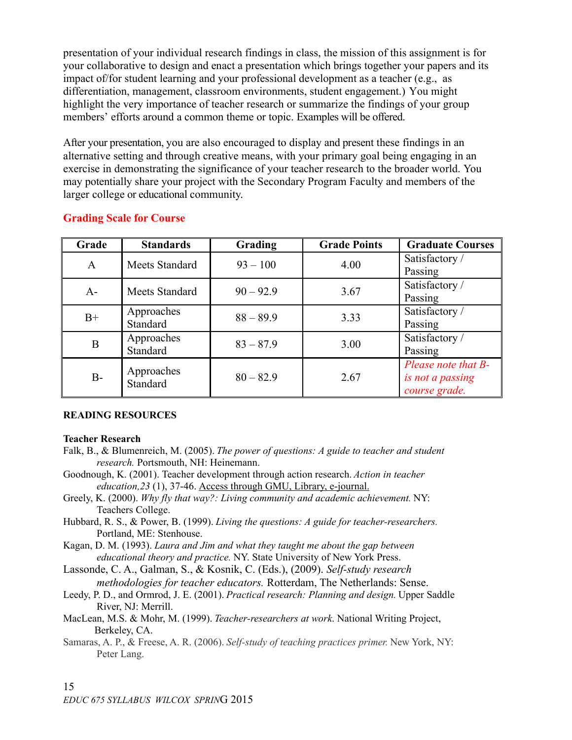presentation of your individual research findings in class, the mission of this assignment is for your collaborative to design and enact a presentation which brings together your papers and its impact of/for student learning and your professional development as a teacher (e.g., as differentiation, management, classroom environments, student engagement.) You might highlight the very importance of teacher research or summarize the findings of your group members' efforts around a common theme or topic. Examples will be offered.

After your presentation, you are also encouraged to display and present these findings in an alternative setting and through creative means, with your primary goal being engaging in an exercise in demonstrating the significance of your teacher research to the broader world. You may potentially share your project with the Secondary Program Faculty and members of the larger college or educational community.

| Grade        | <b>Standards</b>       | <b>Grading</b> | <b>Grade Points</b> | <b>Graduate Courses</b> |
|--------------|------------------------|----------------|---------------------|-------------------------|
| $\mathsf{A}$ | Meets Standard         | $93 - 100$     | 4.00                | Satisfactory /          |
|              |                        |                |                     | Passing                 |
| $A-$         | Meets Standard         | $90 - 92.9$    | 3.67                | Satisfactory /          |
|              |                        |                |                     | Passing                 |
|              | Approaches             | $88 - 89.9$    | 3.33                | Satisfactory /          |
| $B+$         | Standard               |                |                     | Passing                 |
| B            | Approaches             | $83 - 87.9$    | 3.00                | Satisfactory /          |
|              | Standard               |                |                     | Passing                 |
|              |                        |                |                     | Please note that B-     |
| $B-$         | Approaches<br>Standard | $80 - 82.9$    | 2.67                | is not a passing        |
|              |                        |                |                     | course grade.           |

### **Grading Scale for Course**

#### **READING RESOURCES**

#### **Teacher Research**

- Falk, B., & Blumenreich, M. (2005). *The power of questions: A guide to teacher and student research.* Portsmouth, NH: Heinemann.
- Goodnough, K. (2001). Teacher development through action research. *Action in teacher education,23* (1), 37-46. Access through GMU, Library, e-journal.
- Greely, K. (2000). *Why fly that way?: Living community and academic achievement.* NY: Teachers College.
- Hubbard, R. S., & Power, B. (1999). *Living the questions: A guide for teacher-researchers.*  Portland, ME: Stenhouse.
- Kagan, D. M. (1993). *Laura and Jim and what they taught me about the gap between educational theory and practice.* NY. State University of New York Press.

Lassonde, C. A., Galman, S., & Kosnik, C. (Eds.), (2009). *Self-study research methodologies for teacher educators.* Rotterdam, The Netherlands: Sense.

- Leedy, P. D., and Ormrod, J. E. (2001). *Practical research: Planning and design.* Upper Saddle River, NJ: Merrill.
- MacLean, M.S. & Mohr, M. (1999). *Teacher-researchers at work*. National Writing Project, Berkeley, CA.
- Samaras, A. P., & Freese, A. R. (2006). *Self-study of teaching practices primer.* New York, NY: Peter Lang.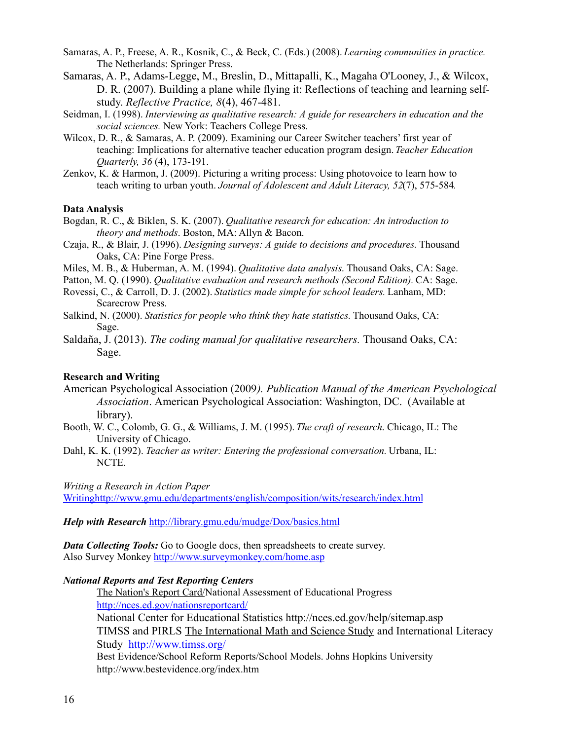Samaras, A. P., Freese, A. R., Kosnik, C., & Beck, C. (Eds.) (2008). *Learning communities in practice.*  The Netherlands: Springer Press.

- Samaras, A. P., Adams-Legge, M., Breslin, D., Mittapalli, K., Magaha O'Looney, J., & Wilcox, D. R. (2007). Building a plane while flying it: Reflections of teaching and learning selfstudy. *Reflective Practice, 8*(4), 467-481.
- Seidman, I. (1998). *Interviewing as qualitative research: A guide for researchers in education and the social sciences.* New York: Teachers College Press.
- Wilcox, D. R., & Samaras, A. P. (2009). Examining our Career Switcher teachers' first year of teaching: Implications for alternative teacher education program design. *Teacher Education Quarterly, 36* (4), 173-191.
- Zenkov, K. & Harmon, J. (2009). Picturing a writing process: Using photovoice to learn how to teach writing to urban youth. *Journal of Adolescent and Adult Literacy, 52*(7), 575-584*.*

#### **Data Analysis**

- Bogdan, R. C., & Biklen, S. K. (2007). *Qualitative research for education: An introduction to theory and methods*. Boston, MA: Allyn & Bacon.
- Czaja, R., & Blair, J. (1996). *Designing surveys: A guide to decisions and procedures.* Thousand Oaks, CA: Pine Forge Press.
- Miles, M. B., & Huberman, A. M. (1994). *Qualitative data analysis*. Thousand Oaks, CA: Sage.
- Patton, M. Q. (1990). *Qualitative evaluation and research methods (Second Edition).* CA: Sage.
- Rovessi, C., & Carroll, D. J. (2002). *Statistics made simple for school leaders.* Lanham, MD: Scarecrow Press.
- Salkind, N. (2000). *Statistics for people who think they hate statistics.* Thousand Oaks, CA: Sage.
- Saldaña, J. (2013). *The coding manual for qualitative researchers.* Thousand Oaks, CA: Sage.

#### **Research and Writing**

- American Psychological Association (2009*). Publication Manual of the American Psychological Association*. American Psychological Association: Washington, DC. (Available at library).
- Booth, W. C., Colomb, G. G., & Williams, J. M. (1995). *The craft of research*. Chicago, IL: The University of Chicago.
- Dahl, K. K. (1992). *Teacher as writer: Entering the professional conversation.* Urbana, IL: NCTE.

*Writing a Research in Action Paper*

[Writinghttp://www.gmu.edu/departments/english/composition/wits/research/index.html](http://www.gmu.edu/departments/english/composition/wits/research/index.html)

*Help with Research* <http://library.gmu.edu/mudge/Dox/basics.html>

*Data Collecting Tools:* Go to Google docs, then spreadsheets to create survey. Also Survey Monkey<http://www.surveymonkey.com/home.asp>

#### *National Reports and Test Reporting Centers*

 [The Nation's Report Card/](http://nces.ed.gov/nationsreportcard/)National Assessment of Educational Progress <http://nces.ed.gov/nationsreportcard/> National Center for Educational Statistics http://nces.ed.gov/help/sitemap.asp TIMSS and PIRLS [The International Math and Science Study](http://www.timss.org/) and International Literacy Study <http://www.timss.org/> Best Evidence/School Reform Reports/School Models. Johns Hopkins University http://www.bestevidence.org/index.htm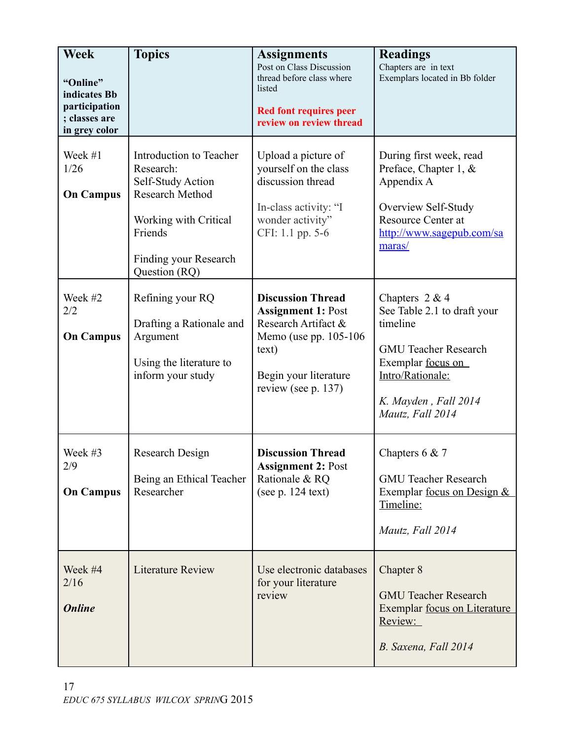| <b>Week</b><br>"Online"<br>indicates Bb<br>participation<br>; classes are<br>in grey color | <b>Topics</b>                                                                                                                                                     | <b>Assignments</b><br>Post on Class Discussion<br>thread before class where<br>listed<br><b>Red font requires peer</b><br>review on review thread               | <b>Readings</b><br>Chapters are in text<br>Exemplars located in Bb folder                                                                                                       |
|--------------------------------------------------------------------------------------------|-------------------------------------------------------------------------------------------------------------------------------------------------------------------|-----------------------------------------------------------------------------------------------------------------------------------------------------------------|---------------------------------------------------------------------------------------------------------------------------------------------------------------------------------|
| Week #1<br>1/26<br><b>On Campus</b>                                                        | Introduction to Teacher<br>Research:<br>Self-Study Action<br><b>Research Method</b><br>Working with Critical<br>Friends<br>Finding your Research<br>Question (RQ) | Upload a picture of<br>yourself on the class<br>discussion thread<br>In-class activity: "I<br>wonder activity"<br>CFI: 1.1 pp. 5-6                              | During first week, read<br>Preface, Chapter 1, &<br>Appendix A<br>Overview Self-Study<br><b>Resource Center at</b><br>http://www.sagepub.com/sa<br>maras/                       |
| Week #2<br>2/2<br><b>On Campus</b>                                                         | Refining your RQ<br>Drafting a Rationale and<br>Argument<br>Using the literature to<br>inform your study                                                          | <b>Discussion Thread</b><br><b>Assignment 1: Post</b><br>Research Artifact &<br>Memo (use pp. 105-106)<br>text)<br>Begin your literature<br>review (see p. 137) | Chapters $2 & 4$<br>See Table 2.1 to draft your<br>timeline<br><b>GMU Teacher Research</b><br>Exemplar focus on<br>Intro/Rationale:<br>K. Mayden, Fall 2014<br>Mautz, Fall 2014 |
| Week #3<br>2/9<br><b>On Campus</b>                                                         | Research Design<br>Being an Ethical Teacher<br>Researcher                                                                                                         | <b>Discussion Thread</b><br><b>Assignment 2: Post</b><br>Rationale & RQ<br>(see p. 124 text)                                                                    | Chapters $6 & 7$<br><b>GMU Teacher Research</b><br>Exemplar <u>focus on Design <math>\&amp;</math></u><br>Timeline:<br>Mautz, Fall 2014                                         |
| Week #4<br>2/16<br><b>Online</b>                                                           | <b>Literature Review</b>                                                                                                                                          | Use electronic databases<br>for your literature<br>review                                                                                                       | Chapter 8<br><b>GMU Teacher Research</b><br>Exemplar focus on Literature<br><u>Review:</u><br>B. Saxena, Fall 2014                                                              |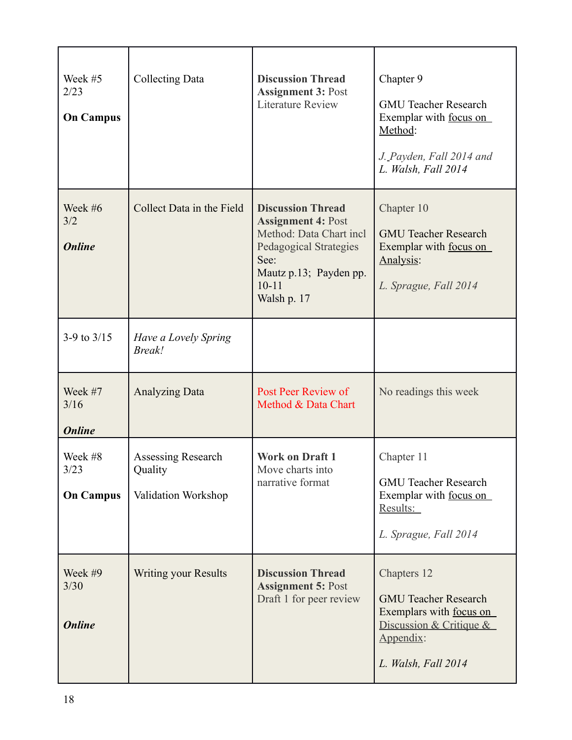| Week #5<br>2/23<br><b>On Campus</b> | <b>Collecting Data</b>                               | <b>Discussion Thread</b><br><b>Assignment 3: Post</b><br><b>Literature Review</b>                                                                                               | Chapter 9<br><b>GMU Teacher Research</b><br>Exemplar with focus on<br>Method:<br>J. Payden, Fall 2014 and<br>L. Walsh, Fall 2014     |
|-------------------------------------|------------------------------------------------------|---------------------------------------------------------------------------------------------------------------------------------------------------------------------------------|--------------------------------------------------------------------------------------------------------------------------------------|
| Week #6<br>3/2<br><b>Online</b>     | Collect Data in the Field                            | <b>Discussion Thread</b><br><b>Assignment 4: Post</b><br>Method: Data Chart incl<br><b>Pedagogical Strategies</b><br>See:<br>Mautz p.13; Payden pp.<br>$10 - 11$<br>Walsh p. 17 | Chapter 10<br><b>GMU Teacher Research</b><br>Exemplar with focus on<br>Analysis:<br>L. Sprague, Fall 2014                            |
| 3-9 to $3/15$                       | Have a Lovely Spring<br><b>Break!</b>                |                                                                                                                                                                                 |                                                                                                                                      |
| Week #7<br>3/16<br><b>Online</b>    | <b>Analyzing Data</b>                                | Post Peer Review of<br>Method & Data Chart                                                                                                                                      | No readings this week                                                                                                                |
| Week #8<br>3/23<br><b>On Campus</b> | Assessing Research<br>Quality<br>Validation Workshop | <b>Work on Draft 1</b><br>Move charts into<br>narrative format                                                                                                                  | Chapter 11<br><b>GMU Teacher Research</b><br>Exemplar with focus on<br>Results:<br>L. Sprague, Fall 2014                             |
| Week #9<br>3/30<br><b>Online</b>    | <b>Writing your Results</b>                          | <b>Discussion Thread</b><br><b>Assignment 5: Post</b><br>Draft 1 for peer review                                                                                                | Chapters 12<br><b>GMU Teacher Research</b><br>Exemplars with focus on<br>Discussion & Critique &<br>Appendix:<br>L. Walsh, Fall 2014 |